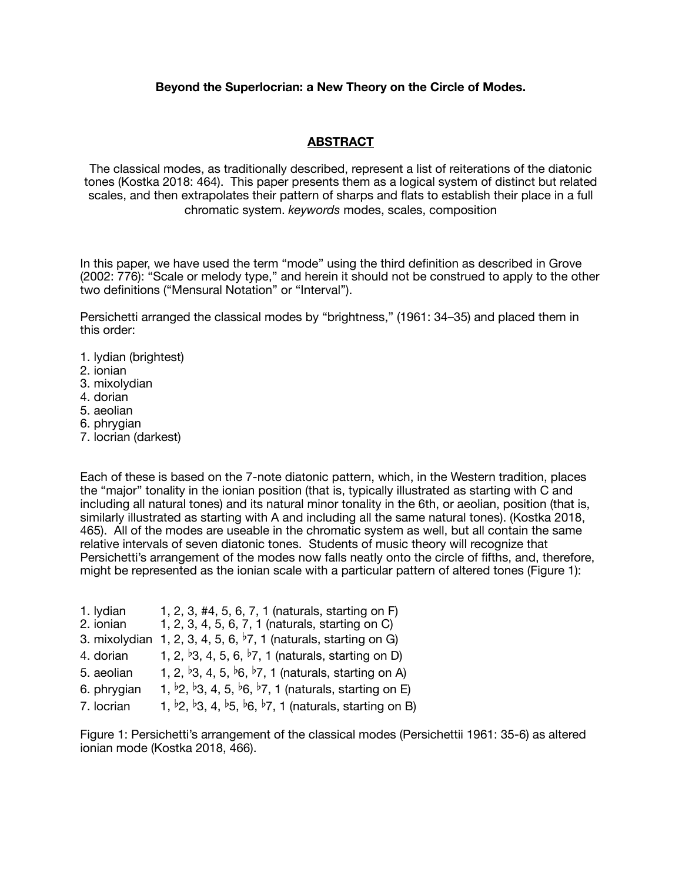## **Beyond the Superlocrian: a New Theory on the Circle of Modes.**

## **ABSTRACT**

The classical modes, as traditionally described, represent a list of reiterations of the diatonic tones (Kostka 2018: 464). This paper presents them as a logical system of distinct but related scales, and then extrapolates their pattern of sharps and flats to establish their place in a full chromatic system. *keywords* modes, scales, composition

In this paper, we have used the term "mode" using the third definition as described in Grove (2002: 776): "Scale or melody type," and herein it should not be construed to apply to the other two definitions ("Mensural Notation" or "Interval").

Persichetti arranged the classical modes by "brightness," (1961: 34–35) and placed them in this order:

- 1. lydian (brightest)
- 2. ionian
- 3. mixolydian
- 4. dorian
- 5. aeolian
- 6. phrygian
- 7. locrian (darkest)

Each of these is based on the 7-note diatonic pattern, which, in the Western tradition, places the "major" tonality in the ionian position (that is, typically illustrated as starting with C and including all natural tones) and its natural minor tonality in the 6th, or aeolian, position (that is, similarly illustrated as starting with A and including all the same natural tones). (Kostka 2018, 465). All of the modes are useable in the chromatic system as well, but all contain the same relative intervals of seven diatonic tones. Students of music theory will recognize that Persichetti's arrangement of the modes now falls neatly onto the circle of fifths, and, therefore, might be represented as the ionian scale with a particular pattern of altered tones (Figure 1):

- 1. lydian 1, 2, 3, #4, 5, 6, 7, 1 (naturals, starting on F)<br>2. ionian 1, 2, 3, 4, 5, 6, 7, 1 (naturals, starting on C)
- 1, 2, 3, 4, 5, 6, 7, 1 (naturals, starting on C)
- 3. mixolydian 1, 2, 3, 4, 5, 6,  $\overline{2}$ , 1 (naturals, starting on G)
- 4. dorian 1, 2, <sup>b</sup>3, 4, 5, 6, <sup>b</sup>7, 1 (naturals, starting on D)
- 5. aeolian 1, 2,  $\frac{1}{3}$ , 4, 5,  $\frac{1}{6}$ ,  $\frac{1}{7}$ , 1 (naturals, starting on A)
- 6. phrygian 1,  $\frac{b}{2}$ ,  $\frac{b}{3}$ , 4, 5,  $\frac{b}{6}$ ,  $\frac{b}{7}$ , 1 (naturals, starting on E)
- 7. locrian 1,  $\frac{1}{2}$ ,  $\frac{1}{3}$ , 4,  $\frac{1}{5}$ ,  $\frac{1}{6}$ ,  $\frac{1}{7}$ , 1 (naturals, starting on B)

Figure 1: Persichetti's arrangement of the classical modes (Persichettii 1961: 35-6) as altered ionian mode (Kostka 2018, 466).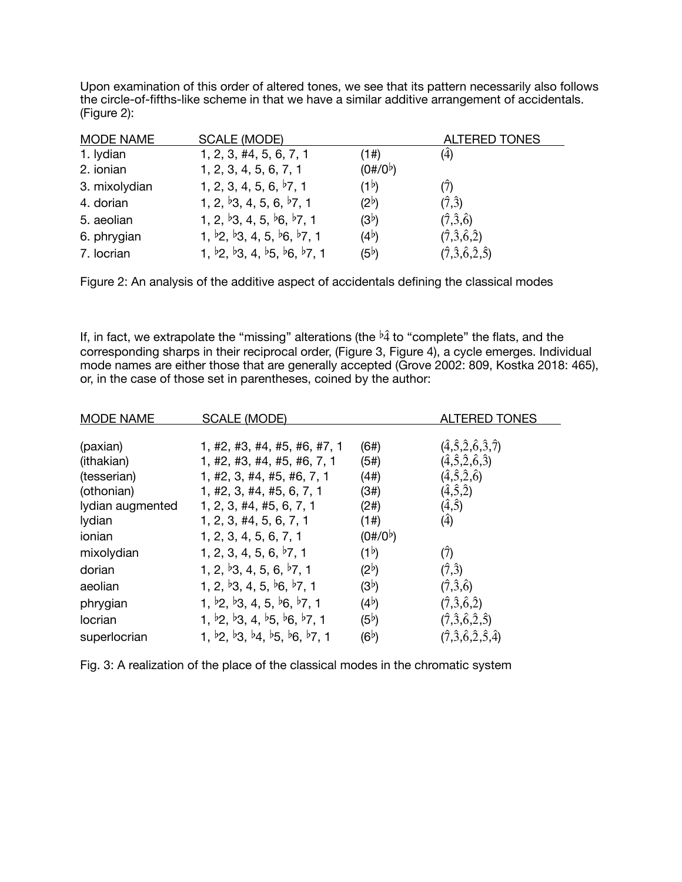Upon examination of this order of altered tones, we see that its pattern necessarily also follows the circle-of-fifths-like scheme in that we have a similar additive arrangement of accidentals. (Figure 2):

| <b>MODE NAME</b> | <b>SCALE (MODE)</b>                                                                     |                   | <b>ALTERED TONES</b>                            |
|------------------|-----------------------------------------------------------------------------------------|-------------------|-------------------------------------------------|
| 1. Iydian        | 1, 2, 3, 44, 5, 6, 7, 1                                                                 | (1#)              | $(\hat{4})$                                     |
| 2. ionian        | 1, 2, 3, 4, 5, 6, 7, 1                                                                  | $(0\#/0^{\circ})$ |                                                 |
| 3. mixolydian    | 1, 2, 3, 4, 5, 6, $\frac{1}{2}$ , 1                                                     | (1 <sup>b</sup> ) |                                                 |
| 4. dorian        | 1, 2, $\frac{1}{3}$ , 4, 5, 6, $\frac{1}{2}$ , 1                                        | $(2^b)$           | $(\hat{7}, \hat{3})$                            |
| 5. aeolian       | 1, 2, $\frac{1}{3}$ , 4, 5, $\frac{1}{6}$ , $\frac{1}{7}$ , 1                           | (3 <sup>b</sup> ) | $(\hat{7}, \hat{3}, \hat{6})$                   |
| 6. phrygian      | 1, $\frac{1}{2}$ , $\frac{1}{3}$ , 4, 5, $\frac{1}{6}$ , $\frac{1}{7}$ , 1              | (4 <sup>b</sup> ) | $(\hat{7}, \hat{3}, \hat{6}, \hat{2})$          |
| 7. locrian       | 1, $\frac{b}{2}$ , $\frac{b}{3}$ , 4, $\frac{b}{5}$ , $\frac{b}{6}$ , $\frac{b}{7}$ , 1 | (5 <sup>b</sup> ) | $(\hat{7}, \hat{3}, \hat{6}, \hat{2}, \hat{5})$ |

Figure 2: An analysis of the additive aspect of accidentals defining the classical modes

If, in fact, we extrapolate the "missing" alterations (the  $\frac{b}{4}$  to "complete" the flats, and the corresponding sharps in their reciprocal order, (Figure 3, Figure 4), a cycle emerges. Individual mode names are either those that are generally accepted (Grove 2002: 809, Kostka 2018: 465), or, in the case of those set in parentheses, coined by the author:

| <b>MODE NAME</b> | SCALE (MODE)                                                                                         |                   | <b>ALTERED TONES</b>                                     |
|------------------|------------------------------------------------------------------------------------------------------|-------------------|----------------------------------------------------------|
|                  |                                                                                                      |                   |                                                          |
| (paxian)         | 1, #2, #3, #4, #5, #6, #7, 1                                                                         | (6#)              | $(\hat{4}, \hat{5}, \hat{2}, \hat{6}, \hat{3}, \hat{7})$ |
| (ithakian)       | 1, #2, #3, #4, #5, #6, 7, 1                                                                          | (5#)              | $(\hat{4}, \hat{5}, \hat{2}, \hat{6}, \hat{3})$          |
| (tesserian)      | 1, #2, 3, #4, #5, #6, 7, 1                                                                           | (4#)              | $(\hat{4}, \hat{5}, \hat{2}, \hat{6})$                   |
| (othonian)       | 1, #2, 3, #4, #5, 6, 7, 1                                                                            | (3#)              | $(\hat{4}, \hat{5}, \hat{2})$                            |
| lydian augmented | $1, 2, 3, \#4, \#5, 6, 7, 1$                                                                         | (2#)              | $(\hat{4}, \hat{5})$                                     |
| lydian           | 1, 2, 3, 44, 5, 6, 7, 1                                                                              | (1#)              | $\hat{4}$                                                |
| ionian           | 1, 2, 3, 4, 5, 6, 7, 1                                                                               | $(0\#/0^{\circ})$ |                                                          |
| mixolydian       | 1, 2, 3, 4, 5, 6, $\frac{1}{2}$ , 1                                                                  | (1 <sup>b</sup> ) | (7)                                                      |
| dorian           | 1, 2, $\frac{1}{3}$ , 4, 5, 6, $\frac{1}{2}$ , 1                                                     | $(2^b)$           | $(\hat{7}, \hat{3})$                                     |
| aeolian          | 1, 2, $\frac{1}{3}$ , 4, 5, $\frac{1}{6}$ , $\frac{1}{7}$ , 1                                        | (3 <sup>b</sup> ) | $(\hat{7}, \hat{3}, \hat{6})$                            |
| phrygian         | 1, $\frac{1}{2}$ , $\frac{1}{3}$ , 4, 5, $\frac{1}{6}$ , $\frac{1}{7}$ , 1                           | $(4^b)$           | $(\hat{7}, \hat{3}, \hat{6}, \hat{2})$                   |
| locrian          | 1, $\frac{1}{2}$ , $\frac{1}{2}$ , 4, $\frac{1}{2}$ , $\frac{1}{2}$ , $\frac{1}{2}$ , 1              | (5 <sup>b</sup> ) | $(\hat{7}, \hat{3}, \hat{6}, \hat{2}, \hat{5})$          |
| superlocrian     | 1, $\frac{b}{2}$ , $\frac{b}{3}$ , $\frac{b}{4}$ , $\frac{b}{5}$ , $\frac{b}{6}$ , $\frac{b}{7}$ , 1 | (6 <sup>b</sup> ) | $(\hat{7}, \hat{3}, \hat{6}, \hat{2}, \hat{5}, \hat{4})$ |

Fig. 3: A realization of the place of the classical modes in the chromatic system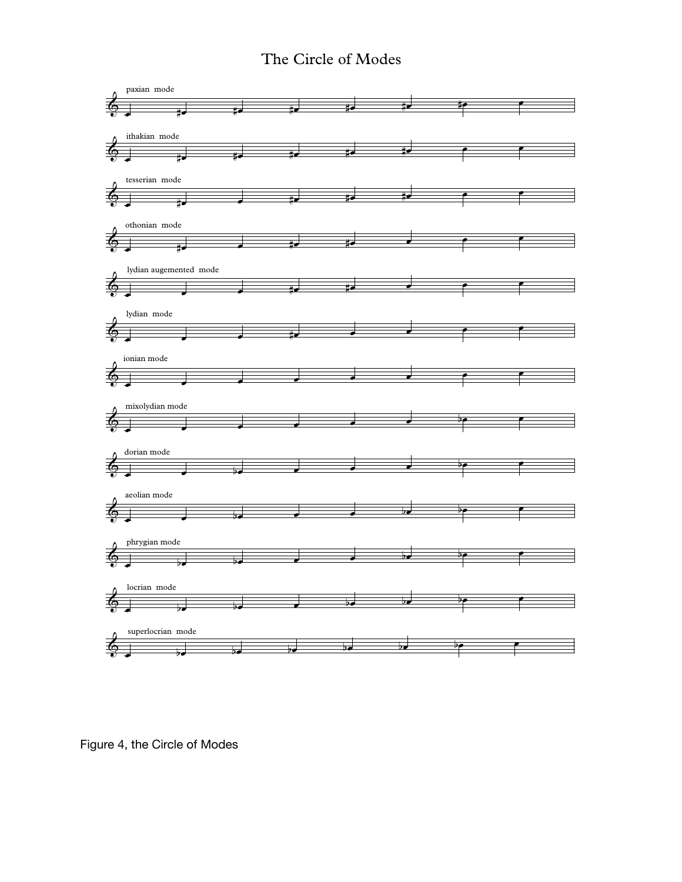## The Circle of Modes



Figure 4, the Circle of Modes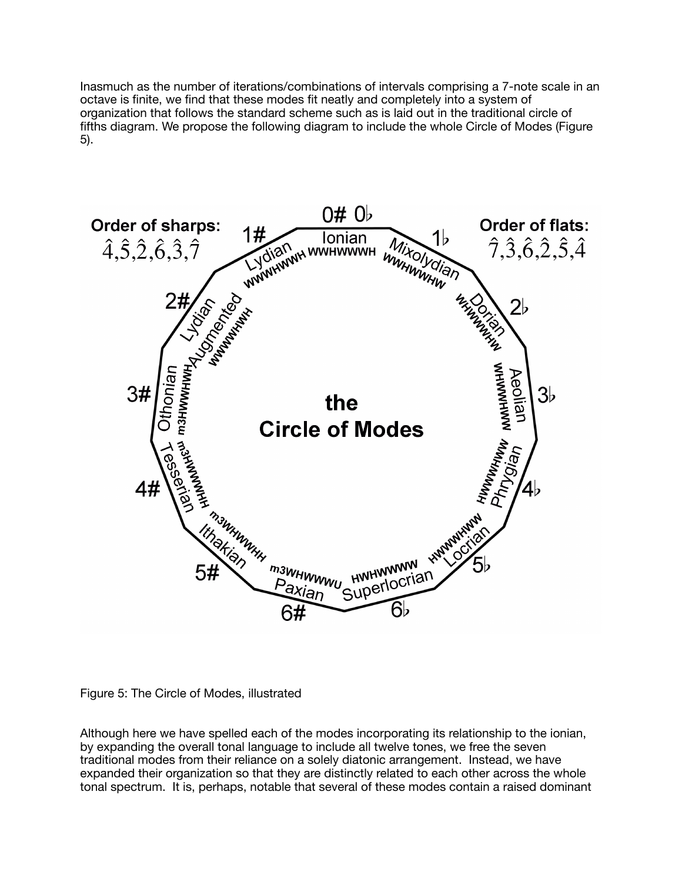Inasmuch as the number of iterations/combinations of intervals comprising a 7-note scale in an octave is finite, we find that these modes fit neatly and completely into a system of organization that follows the standard scheme such as is laid out in the traditional circle of fifths diagram. We propose the following diagram to include the whole Circle of Modes (Figure 5).





Although here we have spelled each of the modes incorporating its relationship to the ionian, by expanding the overall tonal language to include all twelve tones, we free the seven traditional modes from their reliance on a solely diatonic arrangement. Instead, we have expanded their organization so that they are distinctly related to each other across the whole tonal spectrum. It is, perhaps, notable that several of these modes contain a raised dominant